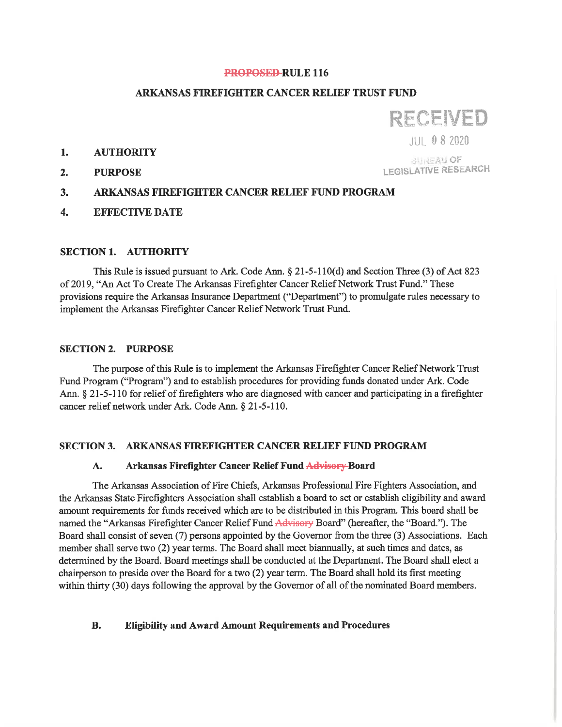### **PROPOSED-RULE 116**

# ARKANSAS FIREFIGHTER CANCER RELIEF TRUST FUND

**RECEIVED** 

JUI 08 2020

#### $1.$ **AUTHORITY**

 $2.$ **PURPOSE** 

**BUREAU OF LEGISLATIVE RESEARCH** 

### 3. **ARKANSAS FIREFIGHTER CANCER RELIEF FUND PROGRAM**

 $\overline{4}$ . **EFFECTIVE DATE** 

### **SECTION 1. AUTHORITY**

This Rule is issued pursuant to Ark. Code Ann.  $\S 21-5-110(d)$  and Section Three (3) of Act 823 of 2019, "An Act To Create The Arkansas Firefighter Cancer Relief Network Trust Fund." These provisions require the Arkansas Insurance Department ("Department") to promulgate rules necessary to implement the Arkansas Firefighter Cancer Relief Network Trust Fund.

## **SECTION 2. PURPOSE**

The purpose of this Rule is to implement the Arkansas Firefighter Cancer Relief Network Trust Fund Program ("Program") and to establish procedures for providing funds donated under Ark. Code Ann. § 21-5-110 for relief of firefighters who are diagnosed with cancer and participating in a firefighter cancer relief network under Ark. Code Ann. § 21-5-110.

# SECTION 3. ARKANSAS FIREFIGHTER CANCER RELIEF FUND PROGRAM

#### Arkansas Firefighter Cancer Relief Fund Advisory-Board A.

The Arkansas Association of Fire Chiefs, Arkansas Professional Fire Fighters Association, and the Arkansas State Firefighters Association shall establish a board to set or establish eligibility and award amount requirements for funds received which are to be distributed in this Program. This board shall be named the "Arkansas Firefighter Cancer Relief Fund Advisory Board" (hereafter, the "Board."). The Board shall consist of seven (7) persons appointed by the Governor from the three (3) Associations. Each member shall serve two (2) year terms. The Board shall meet biannually, at such times and dates, as determined by the Board. Board meetings shall be conducted at the Department. The Board shall elect a chairperson to preside over the Board for a two (2) year term. The Board shall hold its first meeting within thirty (30) days following the approval by the Governor of all of the nominated Board members.

### **B. Eligibility and Award Amount Requirements and Procedures**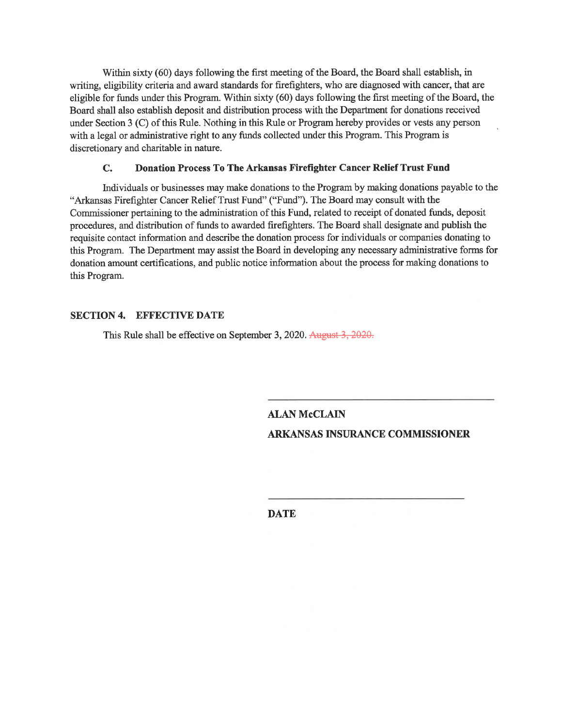Within sixty (60) days following the first meeting of the Board, the Board shall establish, in writing, eligibility criteria and award standards for firefighters, who are diagnosed with cancer, that are eligible for funds under this Program. Within sixty (60) days following the first meeting of the Board, the Board shall also establish deposit and distribution process with the Department for donations received under Section 3 (C) of this Rule. Nothing in this Rule or Program hereby provides or vests any person with a legal or administrative right to any funds collected under this Program. This Program is discretionary and charitable in nature.

### $C_{\bullet}$ Donation Process To The Arkansas Firefighter Cancer Relief Trust Fund

Individuals or businesses may make donations to the Program by making donations payable to the "Arkansas Firefighter Cancer Relief Trust Fund" ("Fund"). The Board may consult with the Commissioner pertaining to the administration of this Fund, related to receipt of donated funds, deposit procedures, and distribution of funds to awarded firefighters. The Board shall designate and publish the requisite contact information and describe the donation process for individuals or companies donating to this Program. The Department may assist the Board in developing any necessary administrative forms for donation amount certifications, and public notice information about the process for making donations to this Program.

# **SECTION 4. EFFECTIVE DATE**

This Rule shall be effective on September 3, 2020. August 3, 2020.

**ALAN McCLAIN ARKANSAS INSURANCE COMMISSIONER** 

**DATE**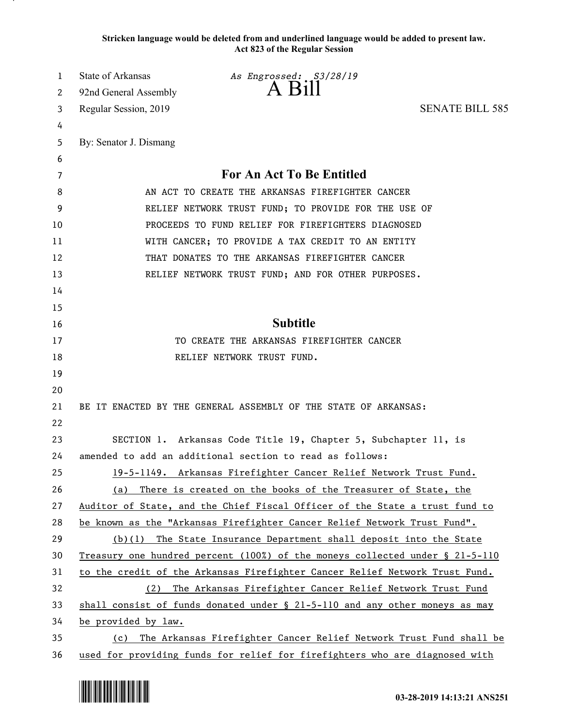**Stricken language would be deleted from and underlined language would be added to present law. Act 823 of the Regular Session**

| 1  | State of Arkansas                                                         | As Engrossed: S3/28/19                                                         |                        |
|----|---------------------------------------------------------------------------|--------------------------------------------------------------------------------|------------------------|
| 2  | 92nd General Assembly                                                     | A Bill                                                                         |                        |
| 3  | Regular Session, 2019                                                     |                                                                                | <b>SENATE BILL 585</b> |
| 4  |                                                                           |                                                                                |                        |
| 5  | By: Senator J. Dismang                                                    |                                                                                |                        |
| 6  |                                                                           |                                                                                |                        |
| 7  |                                                                           | For An Act To Be Entitled                                                      |                        |
| 8  | AN ACT TO CREATE THE ARKANSAS FIREFIGHTER CANCER                          |                                                                                |                        |
| 9  | RELIEF NETWORK TRUST FUND; TO PROVIDE FOR THE USE OF                      |                                                                                |                        |
| 10 |                                                                           | PROCEEDS TO FUND RELIEF FOR FIREFIGHTERS DIAGNOSED                             |                        |
| 11 |                                                                           | WITH CANCER; TO PROVIDE A TAX CREDIT TO AN ENTITY                              |                        |
| 12 |                                                                           | THAT DONATES TO THE ARKANSAS FIREFIGHTER CANCER                                |                        |
| 13 |                                                                           | RELIEF NETWORK TRUST FUND; AND FOR OTHER PURPOSES.                             |                        |
| 14 |                                                                           |                                                                                |                        |
| 15 |                                                                           |                                                                                |                        |
| 16 |                                                                           | <b>Subtitle</b>                                                                |                        |
| 17 |                                                                           | TO CREATE THE ARKANSAS FIREFIGHTER CANCER                                      |                        |
| 18 |                                                                           | RELIEF NETWORK TRUST FUND.                                                     |                        |
| 19 |                                                                           |                                                                                |                        |
| 20 |                                                                           |                                                                                |                        |
| 21 |                                                                           | BE IT ENACTED BY THE GENERAL ASSEMBLY OF THE STATE OF ARKANSAS:                |                        |
| 22 |                                                                           |                                                                                |                        |
| 23 |                                                                           | SECTION 1. Arkansas Code Title 19, Chapter 5, Subchapter 11, is                |                        |
| 24 |                                                                           | amended to add an additional section to read as follows:                       |                        |
| 25 |                                                                           | 19-5-1149. Arkansas Firefighter Cancer Relief Network Trust Fund.              |                        |
| 26 | (a)                                                                       | There is created on the books of the Treasurer of State, the                   |                        |
| 27 |                                                                           | Auditor of State, and the Chief Fiscal Officer of the State a trust fund to    |                        |
| 28 |                                                                           | be known as the "Arkansas Firefighter Cancer Relief Network Trust Fund".       |                        |
| 29 |                                                                           | (b)(1) The State Insurance Department shall deposit into the State             |                        |
| 30 |                                                                           | Treasury one hundred percent (100%) of the moneys collected under § 21-5-110   |                        |
| 31 |                                                                           | to the credit of the Arkansas Firefighter Cancer Relief Network Trust Fund.    |                        |
| 32 | (2)                                                                       | The Arkansas Firefighter Cancer Relief Network Trust Fund                      |                        |
| 33 |                                                                           | shall consist of funds donated under $\S$ 21-5-110 and any other moneys as may |                        |
| 34 | be provided by law.                                                       |                                                                                |                        |
| 35 | The Arkansas Firefighter Cancer Relief Network Trust Fund shall be<br>(c) |                                                                                |                        |
| 36 |                                                                           | used for providing funds for relief for firefighters who are diagnosed with    |                        |

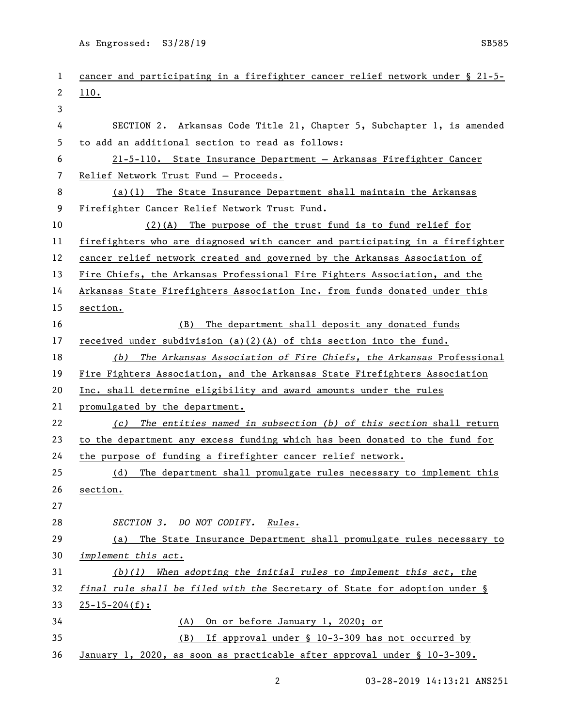As Engrossed: S3/28/19 SB585

| 1  | cancer and participating in a firefighter cancer relief network under § 21-5- |
|----|-------------------------------------------------------------------------------|
| 2  | <u>110.</u>                                                                   |
| 3  |                                                                               |
| 4  | SECTION 2. Arkansas Code Title 21, Chapter 5, Subchapter 1, is amended        |
| 5  | to add an additional section to read as follows:                              |
| 6  | 21-5-110. State Insurance Department - Arkansas Firefighter Cancer            |
| 7  | Relief Network Trust Fund - Proceeds.                                         |
| 8  | $(a)(1)$ The State Insurance Department shall maintain the Arkansas           |
| 9  | Firefighter Cancer Relief Network Trust Fund.                                 |
| 10 | (2)(A) The purpose of the trust fund is to fund relief for                    |
| 11 | firefighters who are diagnosed with cancer and participating in a firefighter |
| 12 | cancer relief network created and governed by the Arkansas Association of     |
| 13 | Fire Chiefs, the Arkansas Professional Fire Fighters Association, and the     |
| 14 | Arkansas State Firefighters Association Inc. from funds donated under this    |
| 15 | section.                                                                      |
| 16 | (B) The department shall deposit any donated funds                            |
| 17 | received under subdivision (a)(2)(A) of this section into the fund.           |
| 18 | The Arkansas Association of Fire Chiefs, the Arkansas Professional<br>(b)     |
| 19 | Fire Fighters Association, and the Arkansas State Firefighters Association    |
| 20 | Inc. shall determine eligibility and award amounts under the rules            |
| 21 | promulgated by the department.                                                |
| 22 | The entities named in subsection (b) of this section shall return<br>(c)      |
| 23 | to the department any excess funding which has been donated to the fund for   |
| 24 | the purpose of funding a firefighter cancer relief network.                   |
| 25 | (d) The department shall promulgate rules necessary to implement this         |
| 26 | section.                                                                      |
| 27 |                                                                               |
| 28 | SECTION 3. DO NOT CODIFY.<br><i>Rules.</i>                                    |
| 29 | (a) The State Insurance Department shall promulgate rules necessary to        |
| 30 | implement this act.                                                           |
| 31 | $(b)(1)$ When adopting the initial rules to implement this act, the           |
| 32 | final rule shall be filed with the Secretary of State for adoption under §    |
| 33 | $25 - 15 - 204(f):$                                                           |
| 34 | On or before January 1, 2020; or<br>(A)                                       |
| 35 | If approval under § 10-3-309 has not occurred by<br>(B)                       |
| 36 | January 1, 2020, as soon as practicable after approval under § 10-3-309.      |

2 03-28-2019 14:13:21 ANS251